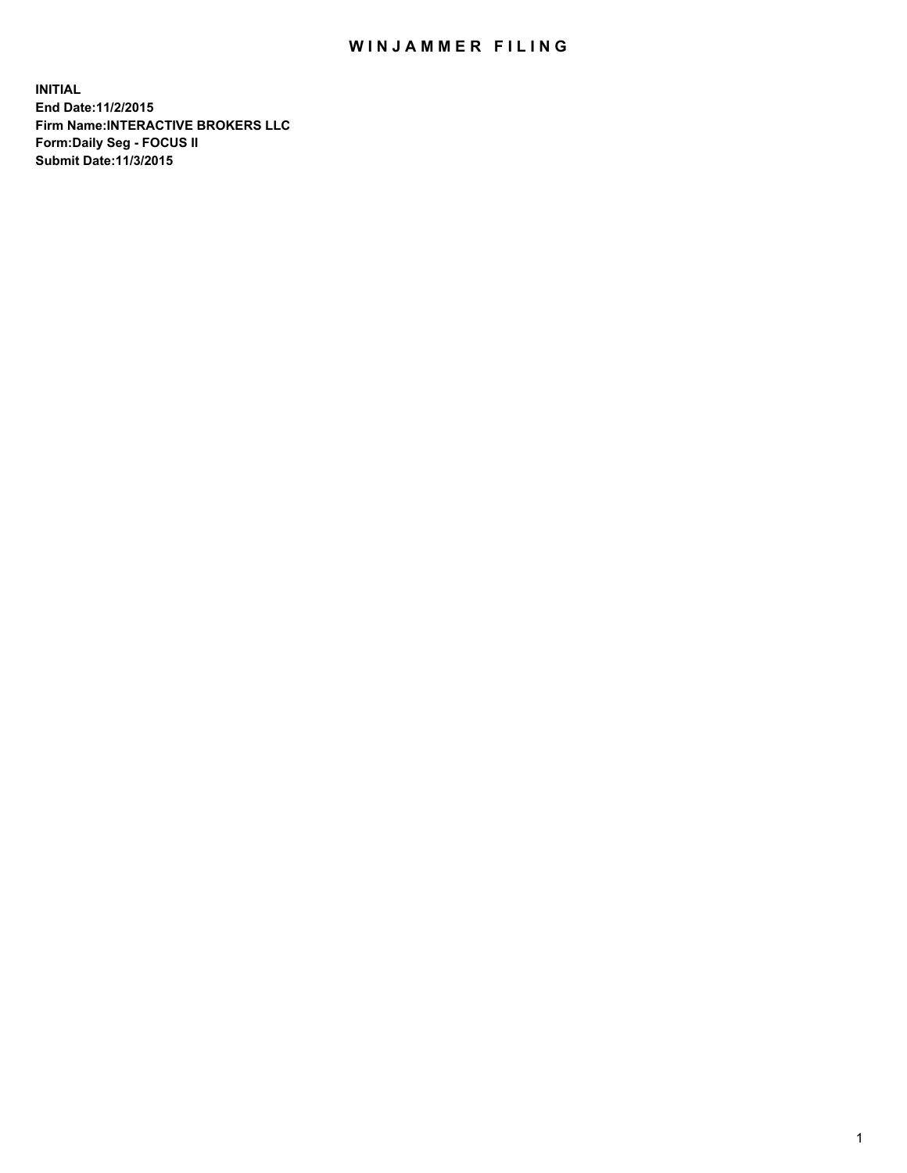## WIN JAMMER FILING

**INITIAL End Date:11/2/2015 Firm Name:INTERACTIVE BROKERS LLC Form:Daily Seg - FOCUS II Submit Date:11/3/2015**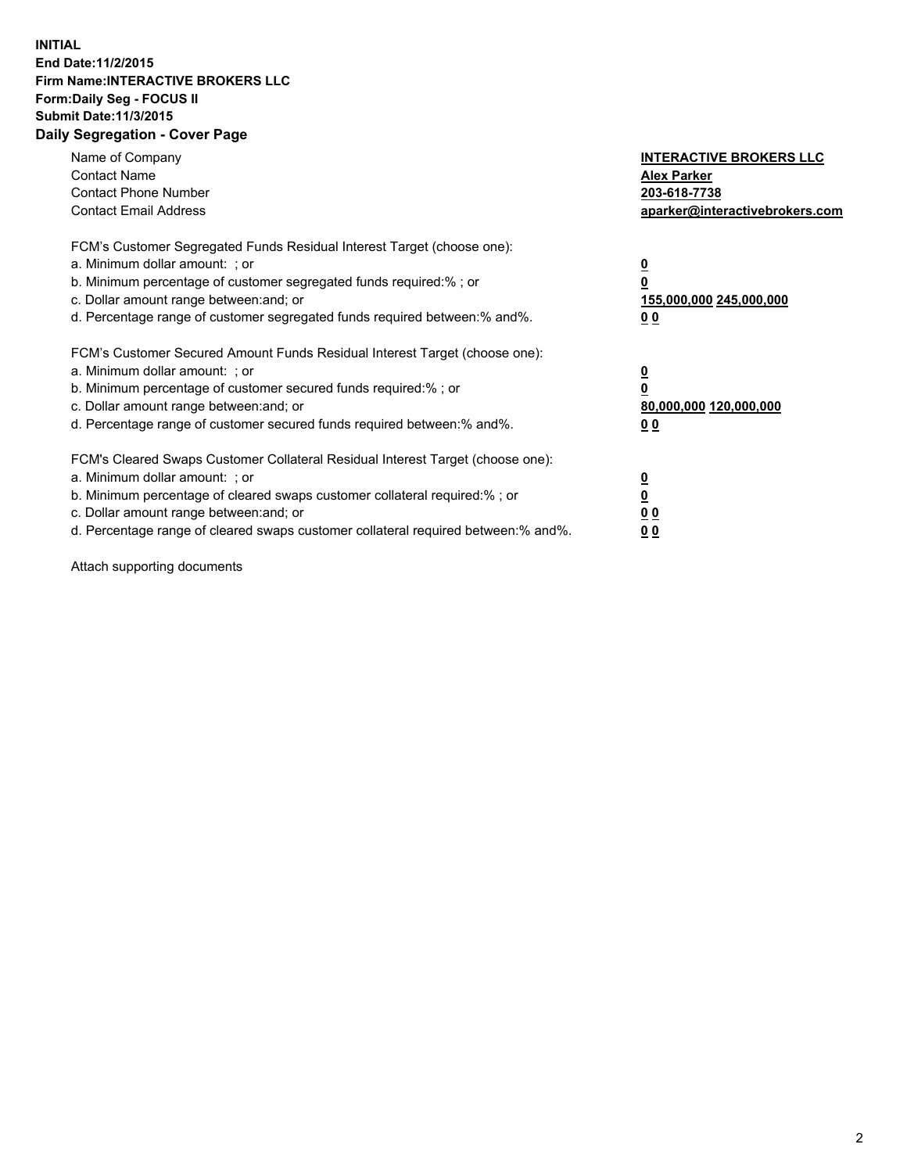## **INITIAL End Date:11/2/2015 Firm Name:INTERACTIVE BROKERS LLC Form:Daily Seg - FOCUS II Submit Date:11/3/2015 Daily Segregation - Cover Page**

| Name of Company<br><b>Contact Name</b><br><b>Contact Phone Number</b><br><b>Contact Email Address</b>                                                                                                                                                                                                                          | <b>INTERACTIVE BROKERS LLC</b><br><b>Alex Parker</b><br>203-618-7738<br>aparker@interactivebrokers.com |
|--------------------------------------------------------------------------------------------------------------------------------------------------------------------------------------------------------------------------------------------------------------------------------------------------------------------------------|--------------------------------------------------------------------------------------------------------|
| FCM's Customer Segregated Funds Residual Interest Target (choose one):<br>a. Minimum dollar amount: ; or<br>b. Minimum percentage of customer segregated funds required:% ; or<br>c. Dollar amount range between: and; or<br>d. Percentage range of customer segregated funds required between:% and%.                         | <u>0</u><br>155,000,000 245,000,000<br><u>00</u>                                                       |
| FCM's Customer Secured Amount Funds Residual Interest Target (choose one):<br>a. Minimum dollar amount: ; or<br>b. Minimum percentage of customer secured funds required:% ; or<br>c. Dollar amount range between: and; or<br>d. Percentage range of customer secured funds required between:% and%.                           | <u>0</u><br>80,000,000 120,000,000<br>0 <sub>0</sub>                                                   |
| FCM's Cleared Swaps Customer Collateral Residual Interest Target (choose one):<br>a. Minimum dollar amount: ; or<br>b. Minimum percentage of cleared swaps customer collateral required:% ; or<br>c. Dollar amount range between: and; or<br>d. Percentage range of cleared swaps customer collateral required between:% and%. | <u>0</u><br>0 <sub>0</sub><br>0 <sub>0</sub>                                                           |

Attach supporting documents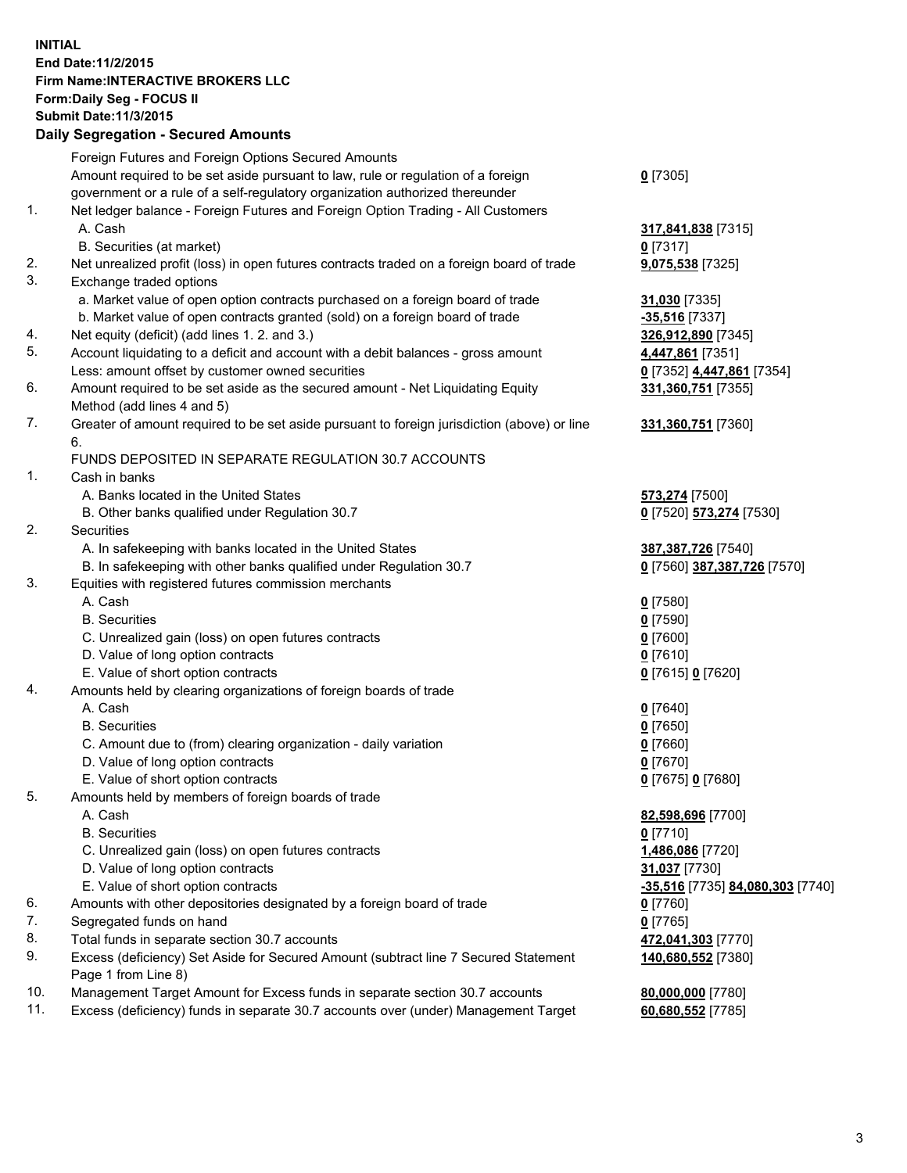## **INITIAL End Date:11/2/2015 Firm Name:INTERACTIVE BROKERS LLC Form:Daily Seg - FOCUS II Submit Date:11/3/2015 Daily Segregation - Secured Amounts**

|     | Dany Ocgregation - Occurea Aniounts                                                         |                                  |
|-----|---------------------------------------------------------------------------------------------|----------------------------------|
|     | Foreign Futures and Foreign Options Secured Amounts                                         |                                  |
|     | Amount required to be set aside pursuant to law, rule or regulation of a foreign            | $0$ [7305]                       |
|     | government or a rule of a self-regulatory organization authorized thereunder                |                                  |
| 1.  | Net ledger balance - Foreign Futures and Foreign Option Trading - All Customers             |                                  |
|     | A. Cash                                                                                     | 317,841,838 [7315]               |
|     | B. Securities (at market)                                                                   | $0$ [7317]                       |
| 2.  | Net unrealized profit (loss) in open futures contracts traded on a foreign board of trade   | 9,075,538 [7325]                 |
| 3.  | Exchange traded options                                                                     |                                  |
|     | a. Market value of open option contracts purchased on a foreign board of trade              | 31,030 [7335]                    |
|     | b. Market value of open contracts granted (sold) on a foreign board of trade                | $-35,516$ [7337]                 |
| 4.  | Net equity (deficit) (add lines 1.2. and 3.)                                                | 326,912,890 [7345]               |
| 5.  | Account liquidating to a deficit and account with a debit balances - gross amount           | 4,447,861 [7351]                 |
|     | Less: amount offset by customer owned securities                                            | 0 [7352] 4,447,861 [7354]        |
| 6.  | Amount required to be set aside as the secured amount - Net Liquidating Equity              | 331,360,751 [7355]               |
|     | Method (add lines 4 and 5)                                                                  |                                  |
| 7.  | Greater of amount required to be set aside pursuant to foreign jurisdiction (above) or line | 331,360,751 [7360]               |
|     | 6.                                                                                          |                                  |
|     | FUNDS DEPOSITED IN SEPARATE REGULATION 30.7 ACCOUNTS                                        |                                  |
| 1.  | Cash in banks                                                                               |                                  |
|     | A. Banks located in the United States                                                       | 573,274 [7500]                   |
|     | B. Other banks qualified under Regulation 30.7                                              | 0 [7520] 573,274 [7530]          |
| 2.  | Securities                                                                                  |                                  |
|     | A. In safekeeping with banks located in the United States                                   | 387, 387, 726 [7540]             |
|     | B. In safekeeping with other banks qualified under Regulation 30.7                          | 0 [7560] 387,387,726 [7570]      |
| 3.  | Equities with registered futures commission merchants                                       |                                  |
|     | A. Cash                                                                                     | $0$ [7580]                       |
|     | <b>B.</b> Securities                                                                        | $0$ [7590]                       |
|     | C. Unrealized gain (loss) on open futures contracts                                         | $0$ [7600]                       |
|     | D. Value of long option contracts                                                           | $0$ [7610]                       |
|     | E. Value of short option contracts                                                          | 0 [7615] 0 [7620]                |
| 4.  | Amounts held by clearing organizations of foreign boards of trade                           |                                  |
|     | A. Cash                                                                                     | $0$ [7640]                       |
|     | <b>B.</b> Securities                                                                        | $0$ [7650]                       |
|     | C. Amount due to (from) clearing organization - daily variation                             | $0$ [7660]                       |
|     | D. Value of long option contracts                                                           | $0$ [7670]                       |
|     | E. Value of short option contracts                                                          | 0 [7675] 0 [7680]                |
| 5.  | Amounts held by members of foreign boards of trade                                          |                                  |
|     | A. Cash                                                                                     | 82,598,696 [7700]                |
|     | <b>B.</b> Securities                                                                        | $0$ [7710]                       |
|     | C. Unrealized gain (loss) on open futures contracts                                         | 1,486,086 [7720]                 |
|     | D. Value of long option contracts                                                           | 31,037 [7730]                    |
|     | E. Value of short option contracts                                                          | -35,516 [7735] 84,080,303 [7740] |
| 6.  | Amounts with other depositories designated by a foreign board of trade                      | $0$ [7760]                       |
| 7.  | Segregated funds on hand                                                                    |                                  |
|     |                                                                                             | $0$ [7765]                       |
| 8.  | Total funds in separate section 30.7 accounts                                               | 472,041,303 [7770]               |
| 9.  | Excess (deficiency) Set Aside for Secured Amount (subtract line 7 Secured Statement         | 140,680,552 [7380]               |
|     | Page 1 from Line 8)                                                                         |                                  |
| 10. | Management Target Amount for Excess funds in separate section 30.7 accounts                 | 80,000,000 [7780]                |
| 11. | Excess (deficiency) funds in separate 30.7 accounts over (under) Management Target          | 60,680,552 [7785]                |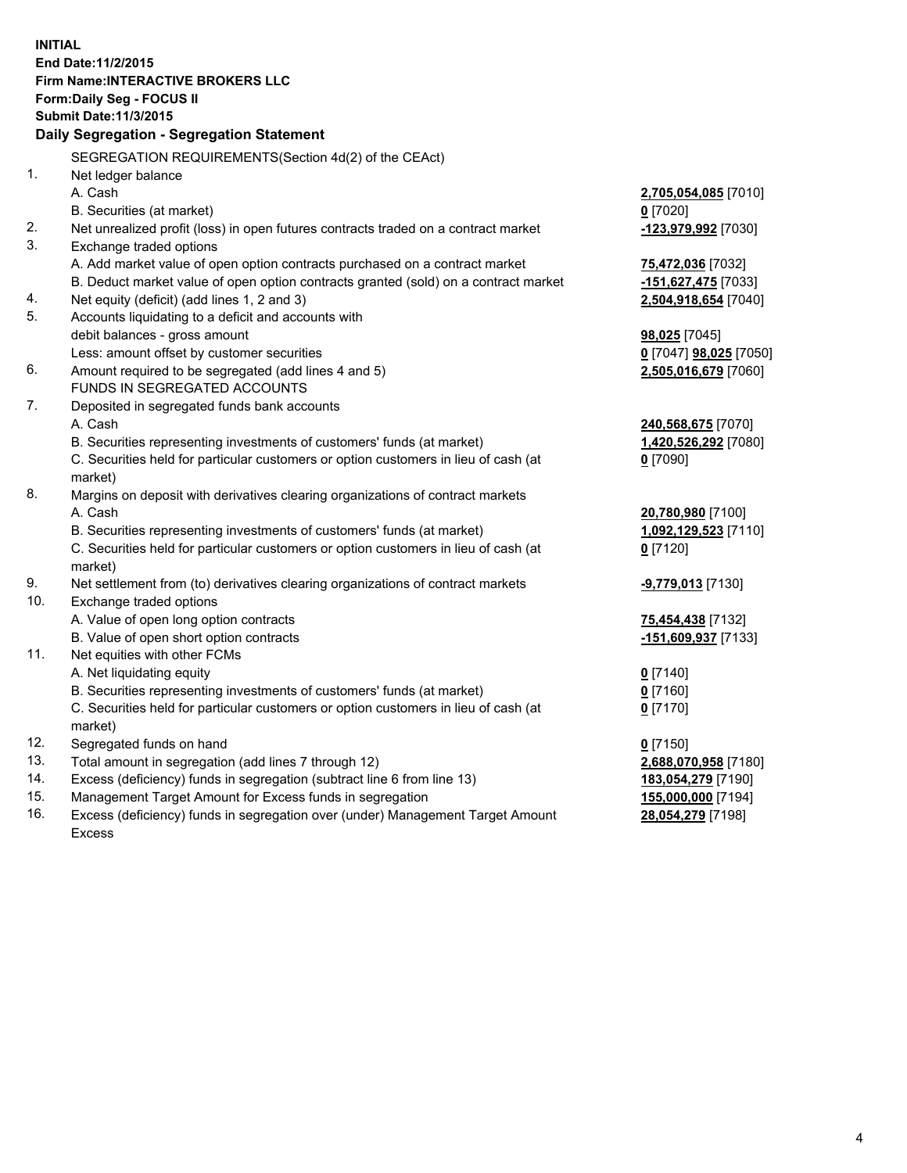**INITIAL End Date:11/2/2015 Firm Name:INTERACTIVE BROKERS LLC Form:Daily Seg - FOCUS II Submit Date:11/3/2015 Daily Segregation - Segregation Statement** SEGREGATION REQUIREMENTS(Section 4d(2) of the CEAct) 1. Net ledger balance A. Cash **2,705,054,085** [7010] B. Securities (at market) **0** [7020] 2. Net unrealized profit (loss) in open futures contracts traded on a contract market **-123,979,992** [7030] 3. Exchange traded options A. Add market value of open option contracts purchased on a contract market **75,472,036** [7032] B. Deduct market value of open option contracts granted (sold) on a contract market **-151,627,475** [7033] 4. Net equity (deficit) (add lines 1, 2 and 3) **2,504,918,654** [7040] 5. Accounts liquidating to a deficit and accounts with debit balances - gross amount **98,025** [7045] Less: amount offset by customer securities **0** [7047] **98,025** [7050] 6. Amount required to be segregated (add lines 4 and 5) **2,505,016,679** [7060] FUNDS IN SEGREGATED ACCOUNTS 7. Deposited in segregated funds bank accounts A. Cash **240,568,675** [7070] B. Securities representing investments of customers' funds (at market) **1,420,526,292** [7080] C. Securities held for particular customers or option customers in lieu of cash (at market) **0** [7090] 8. Margins on deposit with derivatives clearing organizations of contract markets A. Cash **20,780,980** [7100] B. Securities representing investments of customers' funds (at market) **1,092,129,523** [7110] C. Securities held for particular customers or option customers in lieu of cash (at market) **0** [7120] 9. Net settlement from (to) derivatives clearing organizations of contract markets **-9,779,013** [7130] 10. Exchange traded options A. Value of open long option contracts **75,454,438** [7132] B. Value of open short option contracts **-151,609,937** [7133] 11. Net equities with other FCMs A. Net liquidating equity **0** [7140] B. Securities representing investments of customers' funds (at market) **0** [7160] C. Securities held for particular customers or option customers in lieu of cash (at market) **0** [7170] 12. Segregated funds on hand **0** [7150] 13. Total amount in segregation (add lines 7 through 12) **2,688,070,958** [7180] 14. Excess (deficiency) funds in segregation (subtract line 6 from line 13) **183,054,279** [7190] 15. Management Target Amount for Excess funds in segregation **155,000,000** [7194] **28,054,279** [7198]

16. Excess (deficiency) funds in segregation over (under) Management Target Amount Excess